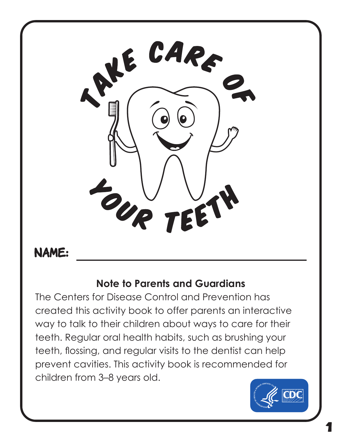

### **NAME:**

#### **Note to Parents and Guardians**

The Centers for Disease Control and Prevention has created this activity book to offer parents an interactive way to talk to their children about ways to care for their teeth. Regular oral health habits, such as brushing your teeth, flossing, and regular visits to the dentist can help prevent cavities. This activity book is recommended for children from 3–8 years old.

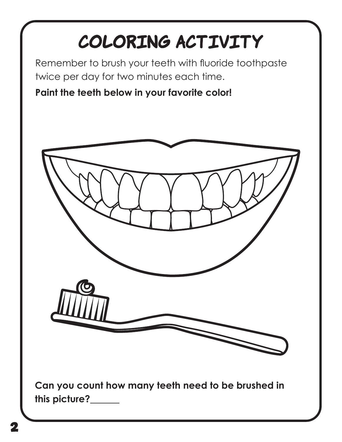## COLORING ACTIVITY

Remember to brush your teeth with fluoride toothpaste twice per day for two minutes each time.

#### **Paint the teeth below in your favorite color!**



**Can you count how many teeth need to be brushed in this picture?**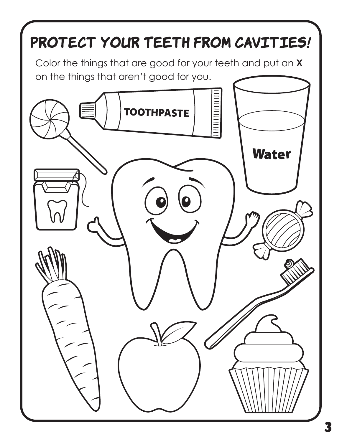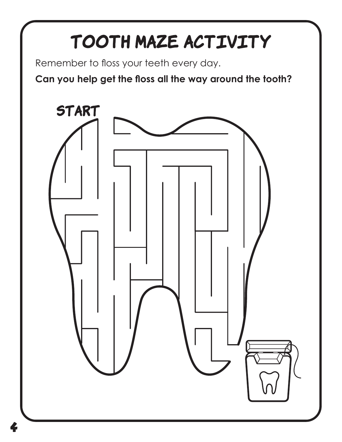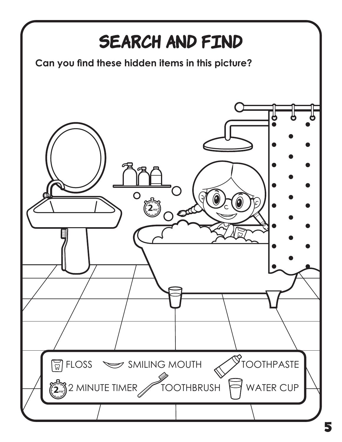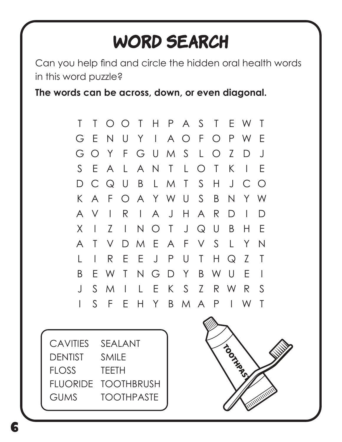### **WORD SEARCH**

Can you help find and circle the hidden oral health words in this word puzzle?

**The words can be across, down, or even diagonal.** 

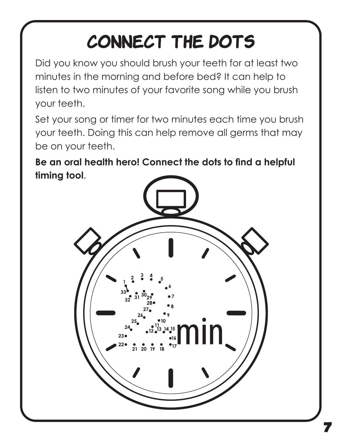### CONNECT THE DOTS

Did you know you should brush your teeth for at least two minutes in the morning and before bed? It can help to listen to two minutes of your favorite song while you brush your teeth.

Set your song or timer for two minutes each time you brush your teeth. Doing this can help remove all germs that may be on your teeth.

**Be an oral health hero! Connect the dots to find a helpful timing tool**.